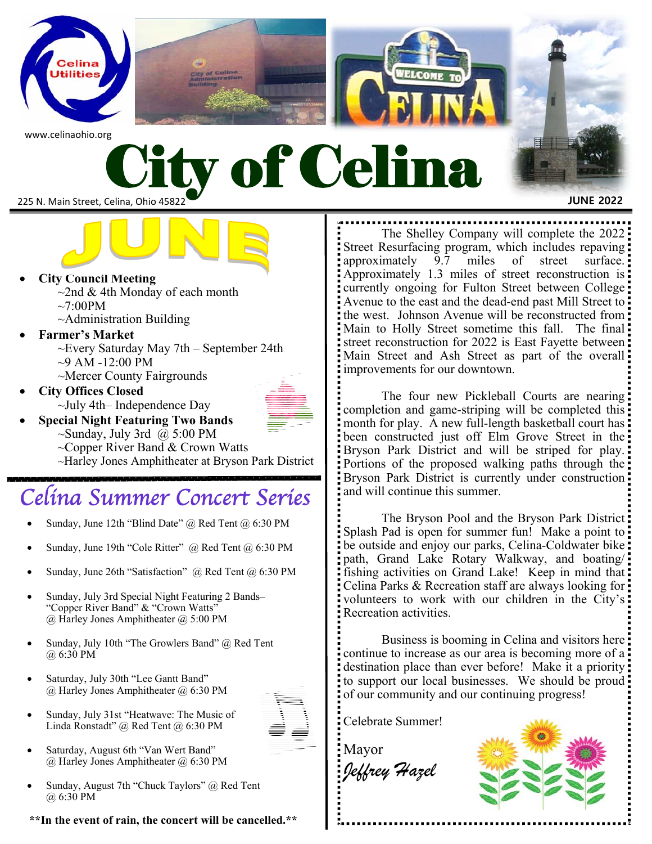



- **Special Night Featuring Two Bands**   $\sim$ Sunday, July 3rd @ 5:00 PM
	- $\sim$ Copper River Band & Crown Watts

~Harley Jones Amphitheater at Bryson Park District

### Celina Summer Concert Series

- Sunday, June 12th "Blind Date" @ Red Tent @ 6:30 PM
- Sunday, June 19th "Cole Ritter" @ Red Tent @ 6:30 PM
- Sunday, June 26th "Satisfaction" @ Red Tent @ 6:30 PM
- Sunday, July 3rd Special Night Featuring 2 Bands– "Copper River Band" & "Crown Watts" @ Harley Jones Amphitheater @ 5:00 PM
- Sunday, July 10th "The Growlers Band" @ Red Tent @ 6:30 PM
- Saturday, July 30th "Lee Gantt Band" @ Harley Jones Amphitheater @ 6:30 PM



- Sunday, July 31st "Heatwave: The Music of Linda Ronstadt" @ Red Tent @ 6:30 PM
- Saturday, August 6th "Van Wert Band" @ Harley Jones Amphitheater @ 6:30 PM
- Sunday, August 7th "Chuck Taylors" @ Red Tent @ 6:30 PM

**\*\*In the event of rain, the concert will be cancelled.\*\*** 

Street Resurfacing program, which includes repaving approximately 9.7 miles of street surface. Approximately 1.3 miles of street reconstruction is: currently ongoing for Fulton Street between College Avenue to the east and the dead-end past Mill Street to the west. Johnson Avenue will be reconstructed from Main to Holly Street sometime this fall. The final: street reconstruction for 2022 is East Fayette between Main Street and Ash Street as part of the overall

The four new Pickleball Courts are nearing: completion and game-striping will be completed this month for play. A new full-length basketball court has: been constructed just off Elm Grove Street in the Bryson Park District and will be striped for play. Portions of the proposed walking paths through the Bryson Park District is currently under construction and will continue this summer.

 The Bryson Pool and the Bryson Park District Splash Pad is open for summer fun! Make a point to be outside and enjoy our parks, Celina-Coldwater bike path, Grand Lake Rotary Walkway, and boating/ fishing activities on Grand Lake! Keep in mind that: Celina Parks & Recreation staff are always looking for volunteers to work with our children in the City's: Recreation activities.

 Business is booming in Celina and visitors here continue to increase as our area is becoming more of a destination place than ever before! Make it a priority to support our local businesses. We should be proud of our community and our continuing progress!

Celebrate Summer!

Mayor *Jeffrey Hazel*